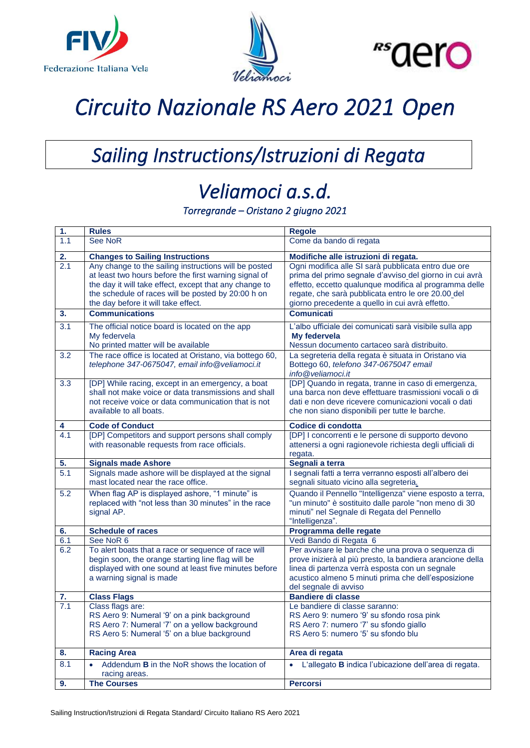





## *Circuito Nazionale RS Aero 2021 Open*

## *Sailing Instructions/Istruzioni di Regata*

## *Veliamoci a.s.d.*

*Torregrande – Oristano 2 giugno 2021* 

| 1.  | <b>Rules</b>                                                                                                                                                                                                                                                          | <b>Regole</b>                                                                                                                                                                                                                                                                     |
|-----|-----------------------------------------------------------------------------------------------------------------------------------------------------------------------------------------------------------------------------------------------------------------------|-----------------------------------------------------------------------------------------------------------------------------------------------------------------------------------------------------------------------------------------------------------------------------------|
| 1.1 | <b>See NoR</b>                                                                                                                                                                                                                                                        | Come da bando di regata                                                                                                                                                                                                                                                           |
| 2.  | <b>Changes to Sailing Instructions</b>                                                                                                                                                                                                                                | Modifiche alle istruzioni di regata.                                                                                                                                                                                                                                              |
| 2.1 | Any change to the sailing instructions will be posted<br>at least two hours before the first warning signal of<br>the day it will take effect, except that any change to<br>the schedule of races will be posted by 20:00 h on<br>the day before it will take effect. | Ogni modifica alle SI sarà pubblicata entro due ore<br>prima del primo segnale d'avviso del giorno in cui avrà<br>effetto, eccetto qualunque modifica al programma delle<br>regate, che sarà pubblicata entro le ore 20.00 del<br>giorno precedente a quello in cui avrà effetto. |
| 3.  | <b>Communications</b>                                                                                                                                                                                                                                                 | <b>Comunicati</b>                                                                                                                                                                                                                                                                 |
| 3.1 | The official notice board is located on the app<br>My federvela<br>No printed matter will be available                                                                                                                                                                | L'albo ufficiale dei comunicati sarà visibile sulla app<br>My federvela<br>Nessun documento cartaceo sarà distribuito.                                                                                                                                                            |
| 3.2 | The race office is located at Oristano, via bottego 60,<br>telephone 347-0675047, email info@veliamoci.it                                                                                                                                                             | La segreteria della regata è situata in Oristano via<br>Bottego 60, telefono 347-0675047 email<br>info@veliamoci.it                                                                                                                                                               |
| 3.3 | [DP] While racing, except in an emergency, a boat<br>shall not make voice or data transmissions and shall<br>not receive voice or data communication that is not<br>available to all boats.                                                                           | [DP] Quando in regata, tranne in caso di emergenza,<br>una barca non deve effettuare trasmissioni vocali o di<br>dati e non deve ricevere comunicazioni vocali o dati<br>che non siano disponibili per tutte le barche.                                                           |
| 4   | <b>Code of Conduct</b>                                                                                                                                                                                                                                                | Codice di condotta                                                                                                                                                                                                                                                                |
| 4.1 | [DP] Competitors and support persons shall comply<br>with reasonable requests from race officials.                                                                                                                                                                    | [DP] I concorrenti e le persone di supporto devono<br>attenersi a ogni ragionevole richiesta degli ufficiali di<br>regata.                                                                                                                                                        |
|     |                                                                                                                                                                                                                                                                       |                                                                                                                                                                                                                                                                                   |
| 5.  | <b>Signals made Ashore</b>                                                                                                                                                                                                                                            | Segnali a terra                                                                                                                                                                                                                                                                   |
| 5.1 | Signals made ashore will be displayed at the signal<br>mast located near the race office.                                                                                                                                                                             | I segnali fatti a terra verranno esposti all'albero dei<br>segnali situato vicino alla segreteria.                                                                                                                                                                                |
| 5.2 | When flag AP is displayed ashore, "1 minute" is<br>replaced with "not less than 30 minutes" in the race<br>signal AP.                                                                                                                                                 | Quando il Pennello "Intelligenza" viene esposto a terra,<br>"un minuto" è sostituito dalle parole "non meno di 30<br>minuti" nel Segnale di Regata del Pennello<br>"Intelligenza".                                                                                                |
| 6.  | <b>Schedule of races</b>                                                                                                                                                                                                                                              | Programma delle regate                                                                                                                                                                                                                                                            |
| 6.1 | See NoR 6                                                                                                                                                                                                                                                             | Vedi Bando di Regata 6                                                                                                                                                                                                                                                            |
| 6.2 | To alert boats that a race or sequence of race will<br>begin soon, the orange starting line flag will be<br>displayed with one sound at least five minutes before<br>a warning signal is made                                                                         | Per avvisare le barche che una prova o sequenza di<br>prove inizierà al più presto, la bandiera arancione della<br>linea di partenza verrà esposta con un segnale<br>acustico almeno 5 minuti prima che dell'esposizione<br>del segnale di avviso                                 |
| 7.  | <b>Class Flags</b>                                                                                                                                                                                                                                                    | <b>Bandiere di classe</b>                                                                                                                                                                                                                                                         |
| 7.1 | Class flags are:<br>RS Aero 9: Numeral '9' on a pink background<br>RS Aero 7: Numeral '7' on a yellow background<br>RS Aero 5: Numeral '5' on a blue background                                                                                                       | Le bandiere di classe saranno:<br>RS Aero 9: numero '9' su sfondo rosa pink<br>RS Aero 7: numero '7' su sfondo giallo<br>RS Aero 5: numero '5' su sfondo blu                                                                                                                      |
| 8.  | <b>Racing Area</b>                                                                                                                                                                                                                                                    | Area di regata                                                                                                                                                                                                                                                                    |
| 8.1 | Addendum <b>B</b> in the NoR shows the location of<br>$\bullet$<br>racing areas.                                                                                                                                                                                      | L'allegato B indica l'ubicazione dell'area di regata.<br>$\bullet$                                                                                                                                                                                                                |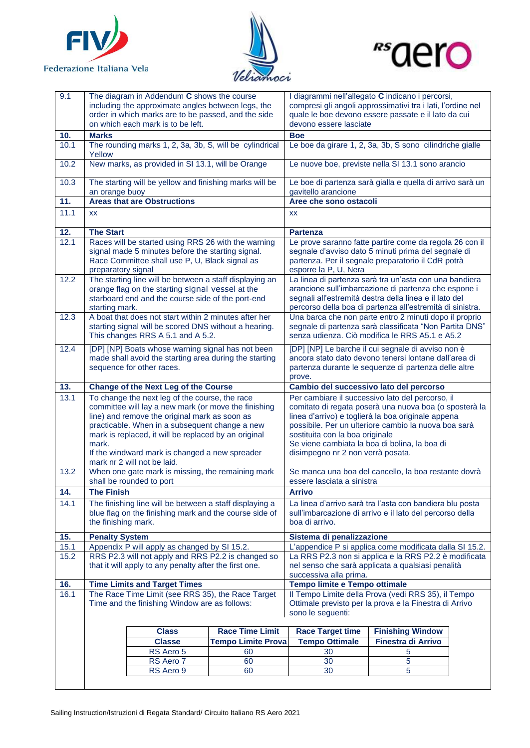





| 9.1               | The diagram in Addendum C shows the course<br>including the approximate angles between legs, the<br>order in which marks are to be passed, and the side |                                                                                                                                                                                                                                                                                                                                                    | I diagrammi nell'allegato C indicano i percorsi,<br>compresi gli angoli approssimativi tra i lati, l'ordine nel<br>quale le boe devono essere passate e il lato da cui |                                                                                                                                                                                                                                       |                                                                                                                                                                                                                          |  |
|-------------------|---------------------------------------------------------------------------------------------------------------------------------------------------------|----------------------------------------------------------------------------------------------------------------------------------------------------------------------------------------------------------------------------------------------------------------------------------------------------------------------------------------------------|------------------------------------------------------------------------------------------------------------------------------------------------------------------------|---------------------------------------------------------------------------------------------------------------------------------------------------------------------------------------------------------------------------------------|--------------------------------------------------------------------------------------------------------------------------------------------------------------------------------------------------------------------------|--|
|                   | on which each mark is to be left.                                                                                                                       |                                                                                                                                                                                                                                                                                                                                                    |                                                                                                                                                                        | devono essere lasciate                                                                                                                                                                                                                |                                                                                                                                                                                                                          |  |
| 10.               | <b>Marks</b>                                                                                                                                            |                                                                                                                                                                                                                                                                                                                                                    |                                                                                                                                                                        | <b>Boe</b>                                                                                                                                                                                                                            |                                                                                                                                                                                                                          |  |
| 10.1              | Yellow                                                                                                                                                  | The rounding marks 1, 2, 3a, 3b, S, will be cylindrical                                                                                                                                                                                                                                                                                            |                                                                                                                                                                        | Le boe da girare 1, 2, 3a, 3b, S sono cilindriche gialle                                                                                                                                                                              |                                                                                                                                                                                                                          |  |
| 10.2              |                                                                                                                                                         |                                                                                                                                                                                                                                                                                                                                                    | New marks, as provided in SI 13.1, will be Orange<br>Le nuove boe, previste nella SI 13.1 sono arancio                                                                 |                                                                                                                                                                                                                                       |                                                                                                                                                                                                                          |  |
| 10.3              | The starting will be yellow and finishing marks will be<br>an orange buoy                                                                               |                                                                                                                                                                                                                                                                                                                                                    |                                                                                                                                                                        | Le boe di partenza sarà gialla e quella di arrivo sarà un<br>gavitello arancione                                                                                                                                                      |                                                                                                                                                                                                                          |  |
| 11.               | <b>Areas that are Obstructions</b>                                                                                                                      |                                                                                                                                                                                                                                                                                                                                                    |                                                                                                                                                                        | Aree che sono ostacoli                                                                                                                                                                                                                |                                                                                                                                                                                                                          |  |
| 11.1              | <b>XX</b>                                                                                                                                               |                                                                                                                                                                                                                                                                                                                                                    |                                                                                                                                                                        | XX                                                                                                                                                                                                                                    |                                                                                                                                                                                                                          |  |
| 12.               | <b>The Start</b>                                                                                                                                        |                                                                                                                                                                                                                                                                                                                                                    |                                                                                                                                                                        | <b>Partenza</b>                                                                                                                                                                                                                       |                                                                                                                                                                                                                          |  |
| 12.1              | preparatory signal                                                                                                                                      | Races will be started using RRS 26 with the warning<br>signal made 5 minutes before the starting signal.<br>Race Committee shall use P, U, Black signal as                                                                                                                                                                                         |                                                                                                                                                                        | Le prove saranno fatte partire come da regola 26 con il<br>segnale d'avviso dato 5 minuti prima del segnale di<br>partenza. Per il segnale preparatorio il CdR potrà<br>esporre la P, U, Nera                                         |                                                                                                                                                                                                                          |  |
| 12.2              | starting mark.                                                                                                                                          | The starting line will be between a staff displaying an<br>orange flag on the starting signal vessel at the<br>starboard end and the course side of the port-end                                                                                                                                                                                   |                                                                                                                                                                        | La linea di partenza sarà tra un'asta con una bandiera<br>arancione sull'imbarcazione di partenza che espone i<br>segnali all'estremità destra della linea e il lato del<br>percorso della boa di partenza all'estremità di sinistra. |                                                                                                                                                                                                                          |  |
| 12.3              |                                                                                                                                                         | A boat that does not start within 2 minutes after her<br>starting signal will be scored DNS without a hearing.<br>This changes RRS A 5.1 and A 5.2.                                                                                                                                                                                                |                                                                                                                                                                        | Una barca che non parte entro 2 minuti dopo il proprio<br>segnale di partenza sarà classificata "Non Partita DNS"<br>senza udienza. Ciò modifica le RRS A5.1 e A5.2                                                                   |                                                                                                                                                                                                                          |  |
| $\overline{12.4}$ | [DP] [NP] Boats whose warning signal has not been<br>made shall avoid the starting area during the starting<br>sequence for other races.                |                                                                                                                                                                                                                                                                                                                                                    |                                                                                                                                                                        | [DP] [NP] Le barche il cui segnale di avviso non è<br>ancora stato dato devono tenersi lontane dall'area di<br>partenza durante le sequenze di partenza delle altre<br>prove.                                                         |                                                                                                                                                                                                                          |  |
|                   |                                                                                                                                                         |                                                                                                                                                                                                                                                                                                                                                    |                                                                                                                                                                        |                                                                                                                                                                                                                                       |                                                                                                                                                                                                                          |  |
| 13.               |                                                                                                                                                         | <b>Change of the Next Leg of the Course</b>                                                                                                                                                                                                                                                                                                        |                                                                                                                                                                        | Cambio del successivo lato del percorso                                                                                                                                                                                               |                                                                                                                                                                                                                          |  |
| 13.1              | mark.                                                                                                                                                   | To change the next leg of the course, the race<br>committee will lay a new mark (or move the finishing<br>line) and remove the original mark as soon as<br>practicable. When in a subsequent change a new<br>mark is replaced, it will be replaced by an original<br>If the windward mark is changed a new spreader<br>mark nr 2 will not be laid. |                                                                                                                                                                        | sostituita con la boa originale<br>Se viene cambiata la boa di bolina, la boa di<br>disimpegno nr 2 non verrà posata.                                                                                                                 | Per cambiare il successivo lato del percorso, il<br>comitato di regata poserà una nuova boa (o sposterà la<br>linea d'arrivo) e toglierà la boa originale appena<br>possibile. Per un ulteriore cambio la nuova boa sarà |  |
| 13.2              |                                                                                                                                                         | When one gate mark is missing, the remaining mark<br>shall be rounded to port                                                                                                                                                                                                                                                                      |                                                                                                                                                                        | essere lasciata a sinistra                                                                                                                                                                                                            | Se manca una boa del cancello, la boa restante dovrà                                                                                                                                                                     |  |
| 14.               | <b>The Finish</b>                                                                                                                                       |                                                                                                                                                                                                                                                                                                                                                    |                                                                                                                                                                        | <b>Arrivo</b>                                                                                                                                                                                                                         |                                                                                                                                                                                                                          |  |
| 14.1              | the finishing mark.                                                                                                                                     | The finishing line will be between a staff displaying a<br>blue flag on the finishing mark and the course side of                                                                                                                                                                                                                                  |                                                                                                                                                                        | boa di arrivo.                                                                                                                                                                                                                        | La linea d'arrivo sarà tra l'asta con bandiera blu posta<br>sull'imbarcazione di arrivo e il lato del percorso della                                                                                                     |  |
| 15.               | <b>Penalty System</b>                                                                                                                                   |                                                                                                                                                                                                                                                                                                                                                    |                                                                                                                                                                        | Sistema di penalizzazione                                                                                                                                                                                                             |                                                                                                                                                                                                                          |  |
| 15.1              |                                                                                                                                                         | Appendix P will apply as changed by SI 15.2.                                                                                                                                                                                                                                                                                                       |                                                                                                                                                                        |                                                                                                                                                                                                                                       | L'appendice P si applica come modificata dalla SI 15.2.                                                                                                                                                                  |  |
| 15.2              |                                                                                                                                                         | RRS P2.3 will not apply and RRS P2.2 is changed so<br>that it will apply to any penalty after the first one.                                                                                                                                                                                                                                       |                                                                                                                                                                        | successiva alla prima.                                                                                                                                                                                                                | La RRS P2.3 non si applica e la RRS P2.2 è modificata<br>nel senso che sarà applicata a qualsiasi penalità                                                                                                               |  |
| 16.               |                                                                                                                                                         |                                                                                                                                                                                                                                                                                                                                                    |                                                                                                                                                                        |                                                                                                                                                                                                                                       |                                                                                                                                                                                                                          |  |
| 16.1              |                                                                                                                                                         | <b>Time Limits and Target Times</b><br>The Race Time Limit (see RRS 35), the Race Target<br>Time and the finishing Window are as follows:                                                                                                                                                                                                          |                                                                                                                                                                        | Tempo limite e Tempo ottimale<br>sono le seguenti:                                                                                                                                                                                    | Il Tempo Limite della Prova (vedi RRS 35), il Tempo<br>Ottimale previsto per la prova e la Finestra di Arrivo                                                                                                            |  |
|                   |                                                                                                                                                         |                                                                                                                                                                                                                                                                                                                                                    |                                                                                                                                                                        |                                                                                                                                                                                                                                       |                                                                                                                                                                                                                          |  |
|                   |                                                                                                                                                         | <b>Class</b>                                                                                                                                                                                                                                                                                                                                       | <b>Race Time Limit</b>                                                                                                                                                 | <b>Race Target time</b>                                                                                                                                                                                                               | <b>Finishing Window</b>                                                                                                                                                                                                  |  |
|                   |                                                                                                                                                         | <b>Classe</b>                                                                                                                                                                                                                                                                                                                                      | <b>Tempo Limite Prova</b>                                                                                                                                              | <b>Tempo Ottimale</b>                                                                                                                                                                                                                 | <b>Finestra di Arrivo</b>                                                                                                                                                                                                |  |
|                   |                                                                                                                                                         | RS Aero 5<br>RS Aero 7                                                                                                                                                                                                                                                                                                                             | 60<br>60                                                                                                                                                               | 30<br>30                                                                                                                                                                                                                              | 5<br>$\sqrt{5}$                                                                                                                                                                                                          |  |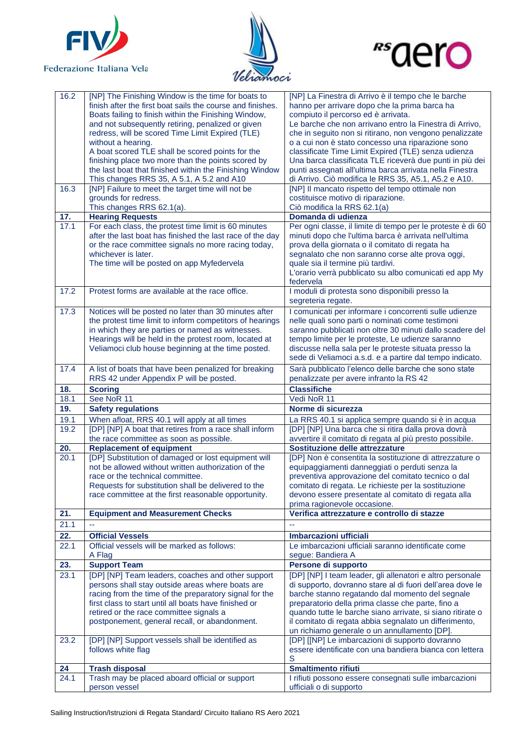





| 16.2 | [NP] The Finishing Window is the time for boats to<br>finish after the first boat sails the course and finishes.<br>Boats failing to finish within the Finishing Window,<br>and not subsequently retiring, penalized or given<br>redress, will be scored Time Limit Expired (TLE)    | [NP] La Finestra di Arrivo è il tempo che le barche<br>hanno per arrivare dopo che la prima barca ha<br>compiuto il percorso ed è arrivata.<br>Le barche che non arrivano entro la Finestra di Arrivo,<br>che in seguito non si ritirano, non vengono penalizzate                                                                               |
|------|--------------------------------------------------------------------------------------------------------------------------------------------------------------------------------------------------------------------------------------------------------------------------------------|-------------------------------------------------------------------------------------------------------------------------------------------------------------------------------------------------------------------------------------------------------------------------------------------------------------------------------------------------|
|      | without a hearing.<br>A boat scored TLE shall be scored points for the<br>finishing place two more than the points scored by<br>the last boat that finished within the Finishing Window                                                                                              | o a cui non è stato concesso una riparazione sono<br>classificate Time Limit Expired (TLE) senza udienza<br>Una barca classificata TLE riceverà due punti in più dei<br>punti assegnati all'ultima barca arrivata nella Finestra                                                                                                                |
|      | This changes RRS 35, A 5.1, A 5.2 and A10                                                                                                                                                                                                                                            | di Arrivo. Ciò modifica le RRS 35, A5.1, A5.2 e A10.                                                                                                                                                                                                                                                                                            |
| 16.3 | [NP] Failure to meet the target time will not be<br>grounds for redress.<br>This changes RRS 62.1(a).                                                                                                                                                                                | [NP] Il mancato rispetto del tempo ottimale non<br>costituisce motivo di riparazione.<br>Ciò modifica la RRS 62.1(a)                                                                                                                                                                                                                            |
| 17.  | <b>Hearing Requests</b>                                                                                                                                                                                                                                                              | Domanda di udienza                                                                                                                                                                                                                                                                                                                              |
| 17.1 | For each class, the protest time limit is 60 minutes<br>after the last boat has finished the last race of the day<br>or the race committee signals no more racing today,<br>whichever is later.<br>The time will be posted on app Myfedervela                                        | Per ogni classe, il limite di tempo per le proteste è di 60<br>minuti dopo che l'ultima barca è arrivata nell'ultima<br>prova della giornata o il comitato di regata ha<br>segnalato che non saranno corse alte prova oggi,<br>quale sia il termine più tardivi.<br>L'orario verrà pubblicato su albo comunicati ed app My<br>federvela         |
| 17.2 | Protest forms are available at the race office.                                                                                                                                                                                                                                      | I moduli di protesta sono disponibili presso la<br>segreteria regate.                                                                                                                                                                                                                                                                           |
| 17.3 | Notices will be posted no later than 30 minutes after<br>the protest time limit to inform competitors of hearings<br>in which they are parties or named as witnesses.<br>Hearings will be held in the protest room, located at<br>Veliamoci club house beginning at the time posted. | I comunicati per informare i concorrenti sulle udienze<br>nelle quali sono parti o nominati come testimoni<br>saranno pubblicati non oltre 30 minuti dallo scadere del<br>tempo limite per le proteste, Le udienze saranno<br>discusse nella sala per le proteste situata presso la<br>sede di Veliamoci a.s.d. e a partire dal tempo indicato. |
| 17.4 | A list of boats that have been penalized for breaking<br>RRS 42 under Appendix P will be posted.                                                                                                                                                                                     | Sarà pubblicato l'elenco delle barche che sono state<br>penalizzate per avere infranto la RS 42                                                                                                                                                                                                                                                 |
| 18.  | <b>Scoring</b>                                                                                                                                                                                                                                                                       | <b>Classifiche</b>                                                                                                                                                                                                                                                                                                                              |
|      |                                                                                                                                                                                                                                                                                      |                                                                                                                                                                                                                                                                                                                                                 |
| 18.1 | See NoR 11                                                                                                                                                                                                                                                                           | Vedi NoR 11                                                                                                                                                                                                                                                                                                                                     |
| 19.  | <b>Safety regulations</b>                                                                                                                                                                                                                                                            | Norme di sicurezza                                                                                                                                                                                                                                                                                                                              |
| 19.1 | When afloat, RRS 40.1 will apply at all times                                                                                                                                                                                                                                        | La RRS 40.1 si applica sempre quando si è in acqua                                                                                                                                                                                                                                                                                              |
| 19.2 | [DP] [NP] A boat that retires from a race shall inform<br>the race committee as soon as possible.                                                                                                                                                                                    | [DP] [NP] Una barca che si ritira dalla prova dovrà<br>avvertire il comitato di regata al più presto possibile.                                                                                                                                                                                                                                 |
| 20.  | <b>Replacement of equipment</b>                                                                                                                                                                                                                                                      | Sostituzione delle attrezzature                                                                                                                                                                                                                                                                                                                 |
| 20.1 | [DP] Substitution of damaged or lost equipment will<br>not be allowed without written authorization of the<br>race or the technical committee.<br>Requests for substitution shall be delivered to the<br>race committee at the first reasonable opportunity.                         | [DP] Non è consentita la sostituzione di attrezzature o<br>equipaggiamenti danneggiati o perduti senza la<br>preventiva approvazione del comitato tecnico o dal<br>comitato di regata. Le richieste per la sostituzione<br>devono essere presentate al comitato di regata alla                                                                  |
| 21.  | <b>Equipment and Measurement Checks</b>                                                                                                                                                                                                                                              | prima ragionevole occasione.<br>Verifica attrezzature e controllo di stazze                                                                                                                                                                                                                                                                     |
| 21.1 |                                                                                                                                                                                                                                                                                      |                                                                                                                                                                                                                                                                                                                                                 |
| 22.  | <b>Official Vessels</b>                                                                                                                                                                                                                                                              | Imbarcazioni ufficiali                                                                                                                                                                                                                                                                                                                          |
| 22.1 | Official vessels will be marked as follows:<br>A Flag                                                                                                                                                                                                                                | Le imbarcazioni ufficiali saranno identificate come<br>segue: Bandiera A                                                                                                                                                                                                                                                                        |
| 23.  | <b>Support Team</b>                                                                                                                                                                                                                                                                  | Persone di supporto                                                                                                                                                                                                                                                                                                                             |
| 23.1 | [DP] [NP] Team leaders, coaches and other support                                                                                                                                                                                                                                    | [DP] [NP] I team leader, gli allenatori e altro personale                                                                                                                                                                                                                                                                                       |
|      | persons shall stay outside areas where boats are                                                                                                                                                                                                                                     | di supporto, dovranno stare al di fuori dell'area dove le                                                                                                                                                                                                                                                                                       |
|      | racing from the time of the preparatory signal for the<br>first class to start until all boats have finished or                                                                                                                                                                      | barche stanno regatando dal momento del segnale<br>preparatorio della prima classe che parte, fino a                                                                                                                                                                                                                                            |
|      | retired or the race committee signals a                                                                                                                                                                                                                                              | quando tutte le barche siano arrivate, si siano ritirate o                                                                                                                                                                                                                                                                                      |
|      | postponement, general recall, or abandonment.                                                                                                                                                                                                                                        | il comitato di regata abbia segnalato un differimento,<br>un richiamo generale o un annullamento [DP].                                                                                                                                                                                                                                          |
| 23.2 | [DP] [NP] Support vessels shall be identified as<br>follows white flag                                                                                                                                                                                                               | [DP] [[NP] Le imbarcazioni di supporto dovranno<br>essere identificate con una bandiera bianca con lettera<br>S                                                                                                                                                                                                                                 |
| 24   | <b>Trash disposal</b>                                                                                                                                                                                                                                                                | <b>Smaltimento rifiuti</b>                                                                                                                                                                                                                                                                                                                      |
| 24.1 | Trash may be placed aboard official or support<br>person vessel                                                                                                                                                                                                                      | I rifiuti possono essere consegnati sulle imbarcazioni<br>ufficiali o di supporto                                                                                                                                                                                                                                                               |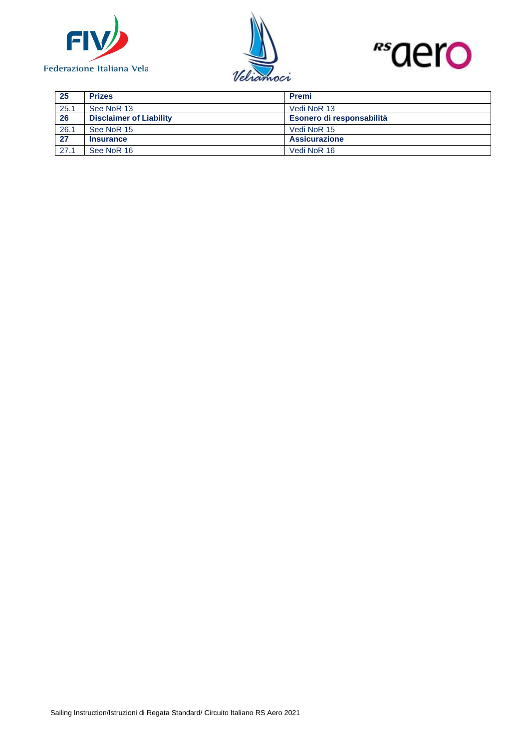





| 25   | <b>Prizes</b>                  | <b>Premi</b>              |  |
|------|--------------------------------|---------------------------|--|
| 25.1 | See NoR 13                     | Vedi NoR 13               |  |
| 26   | <b>Disclaimer of Liability</b> | Esonero di responsabilità |  |
| 26.1 | See NoR 15                     | Vedi NoR 15               |  |
| 27   | <b>Insurance</b>               | <b>Assicurazione</b>      |  |
| 27.1 | See NoR 16                     | Vedi NoR 16               |  |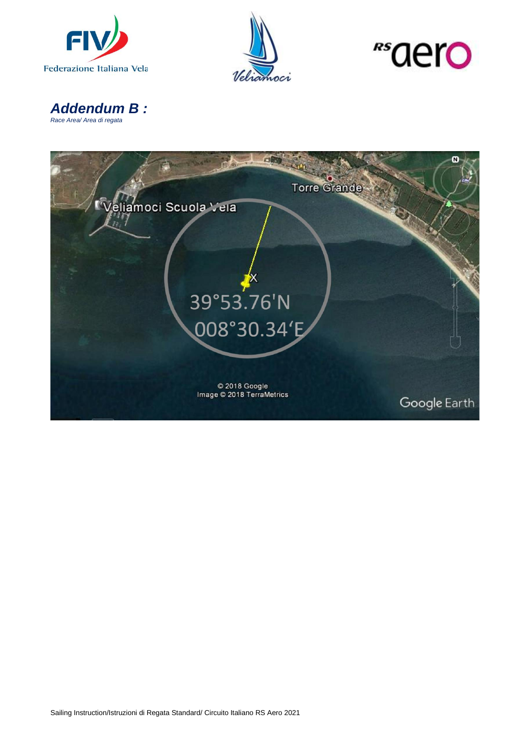